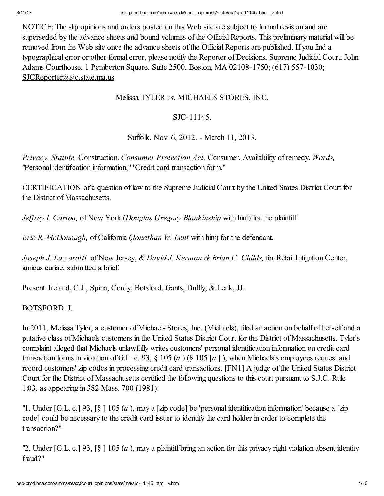NOTICE: The slip opinions and orders posted on this Web site are subject to formal revision and are superseded by the advance sheets and bound volumes of the Official Reports. This preliminary material will be removed from the Web site once the advance sheets of the Official Reports are published. If you find a typographical error or other formal error, please notify the Reporter of Decisions, Supreme JudicialCourt, John Adams Courthouse, 1 Pemberton Square, Suite 2500, Boston, MA 02108-1750; (617) 557-1030; SJCReporter@sjc.state.ma.us

## Melissa TYLER *vs.* MICHAELS STORES, INC.

## SJC-11145.

Suffolk. Nov. 6, 2012. - March 11, 2013.

*Privacy. Statute,* Construction. *Consumer Protection Act,* Consumer, Availability of remedy. *Words,* "Personal identification information," "Credit card transaction form."

CERTIFICATION of a question of law to the Supreme JudicialCourt by the United States District Court for the District of Massachusetts.

*Jeffrey I. Carton,* of New York (*Douglas Gregory Blankinship* with him) for the plaintiff.

*Eric R. McDonough,* of California (*Jonathan W. Lent* with him) for the defendant.

*Joseph J. Lazzarotti,* of New Jersey, *& David J. Kerman & Brian C. Childs,* for Retail Litigation Center, amicus curiae, submitted a brief.

Present: Ireland, C.J., Spina, Cordy, Botsford, Gants, Duffly, & Lenk, JJ.

## BOTSFORD, J.

In 2011, Melissa Tyler, a customer of Michaels Stores, Inc. (Michaels), filed an action on behalf of herself and a putative class of Michaels customers in the United States District Court for the District of Massachusetts. Tyler's complaint alleged that Michaels unlawfully writes customers' personal identification information on credit card transaction forms in violation of G.L. c. 93, § 105 (*a* ) (§ 105 [*a* ] ), when Michaels's employees request and record customers' zip codes in processing credit card transactions. [FN1] A judge of the United States District Court for the District of Massachusetts certified the following questions to this court pursuant to S.J.C. Rule 1:03, as appearing in 382 Mass. 700 (1981):

"1. Under [G.L. c.] 93, [§ ] 105 (*a* ), may a [zip code] be 'personal identification information' because a [zip code] could be necessary to the credit card issuer to identify the card holder in order to complete the transaction?"

"2. Under [G.L. c.] 93, [§ ] 105 (*a* ), may a plaintiff bring an action for this privacy right violation absent identity fraud?"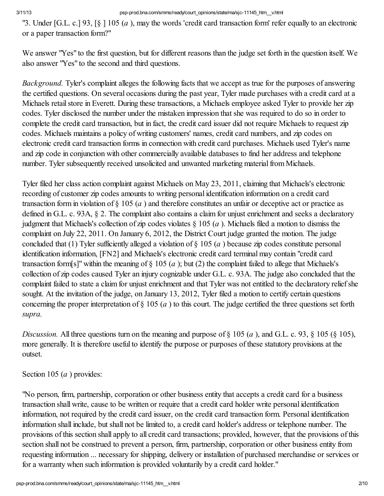"3. Under [G.L. c.] 93, [§ ] 105 (*a* ), may the words 'credit card transaction form' refer equally to an electronic or a paper transaction form?"

We answer "Yes" to the first question, but for different reasons than the judge set forth in the question itself. We also answer "Yes" to the second and third questions.

*Background.* Tyler's complaint alleges the following facts that we accept as true for the purposes of answering the certified questions. On several occasions during the past year, Tyler made purchases with a credit card at a Michaels retail store in Everett. During these transactions, a Michaels employee asked Tyler to provide her zip codes. Tyler disclosed the number under the mistaken impression that she was required to do so in order to complete the credit card transaction, but in fact, the credit card issuer did not require Michaels to request zip codes. Michaels maintains a policy of writing customers' names, credit card numbers, and zip codes on electronic credit card transaction forms in connection with credit card purchases. Michaels used Tyler's name and zip code in conjunction with other commercially available databases to find her address and telephone number. Tyler subsequently received unsolicited and unwanted marketing material from Michaels.

Tyler filed her class action complaint against Michaels on May 23, 2011, claiming that Michaels's electronic recording of customer zip codes amounts to writing personal identification information on a credit card transaction form in violation of § 105 (*a* ) and therefore constitutes an unfair or deceptive act or practice as defined in G.L. c. 93A, § 2. The complaint also contains a claim for unjust enrichment and seeks a declaratory judgment that Michaels's collection of zip codes violates § 105 (*a* ). Michaels filed a motion to dismiss the complaint on July 22, 2011. On January 6, 2012, the District Court judge granted the motion. The judge concluded that (1) Tyler sufficiently alleged a violation of § 105 (*a* ) because zip codes constitute personal identification information, [FN2] and Michaels's electronic credit card terminal may contain "credit card transaction form[s]" within the meaning of  $\S$  105 (*a*); but (2) the complaint failed to allege that Michaels's collection of zip codes caused Tyler an injury cognizable under G.L. c. 93A. The judge also concluded that the complaint failed to state a claim for unjust enrichment and that Tyler was not entitled to the declaratory reliefshe sought. At the invitation of the judge, on January 13, 2012, Tyler filed a motion to certify certain questions concerning the proper interpretation of § 105 (*a* ) to this court. The judge certified the three questions set forth *supra.*

*Discussion.* All three questions turn on the meaning and purpose of § 105 (*a* ), and G.L. c. 93, § 105 (§ 105), more generally. It is therefore useful to identify the purpose or purposes of these statutory provisions at the outset.

Section 105 (*a* ) provides:

"No person, firm, partnership, corporation or other business entity that accepts a credit card for a business transaction shall write, cause to be written or require that a credit card holder write personal identification information, not required by the credit card issuer, on the credit card transaction form. Personal identification information shall include, but shall not be limited to, a credit card holder's address or telephone number. The provisions of this section shall apply to all credit card transactions; provided, however, that the provisions of this section shall not be construed to prevent a person, firm, partnership, corporation or other business entity from requesting information ... necessary for shipping, delivery or installation of purchased merchandise or services or for a warranty when such information is provided voluntarily by a credit card holder."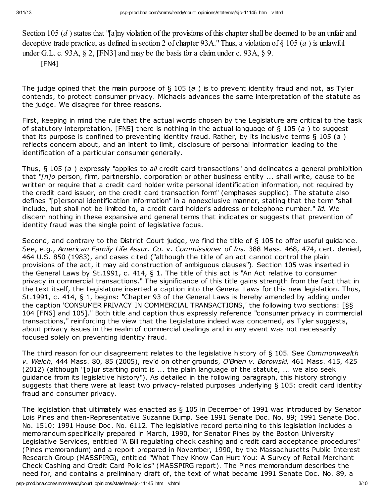Section 105 (*d*) states that "[a]ny violation of the provisions of this chapter shall be deemed to be an unfair and deceptive trade practice, as defined in section 2 of chapter 93A." Thus, a violation of § 105 (*a* ) is unlawful under G.L. c. 93A, § 2, [FN3] and may be the basis for a claim under c. 93A, § 9. [FN4]

The judge opined that the main purpose of § 105 (a) is to prevent identity fraud and not, as Tyler contends, to protect consumer privacy. Michaels advances the same interpretation of the statute as the judge. We disagree for three reasons.

First, keeping in mind the rule that the actual words chosen by the Legislature are critical to the task of statutory interpretation, [FN5] there is nothing in the actual language of  $\S$  105 (a) to suggest that its purpose is confined to preventing identity fraud. Rather, by its inclusive terms  $\S$  105 (a) reflects concern about, and an intent to limit, disclosure of personal information leading to the identification of a particular consumer generally.

Thus, § 105 (a) expressly "applies to all credit card transactions" and delineates a general prohibition that "[n]o person, firm, partnership, corporation or other business entity ... shall write, cause to be written or require that a credit card holder write personal identification information, not required by the credit card issuer, on the credit card transaction form" (emphases supplied). The statute also defines "[p]ersonal identification information" in a nonexclusive manner, stating that the term "shall include, but shall not be limited to, a credit card holder's address or telephone number." Id. We discern nothing in these expansive and general terms that indicates or suggests that prevention of identity fraud was the single point of legislative focus.

Second, and contrary to the District Court judge, we find the title of § 105 to offer useful guidance. See, e.g., American Family Life Assur. Co. v. Commissioner of Ins. 388 Mass. 468, 474, cert. denied, 464 U.S. 850 (1983), and cases cited ("although the title of an act cannot control the plain provisions of the act, it may aid construction of ambiguous clauses"). Section 105 was inserted in the General Laws by St.1991, c. 414, § 1. The title of this act is "An Act relative to consumer privacy in commercial transactions." The significance of this title gains strength from the fact that in the text itself, the Legislature inserted a caption into the General Laws for this new legislation. Thus, St.1991, c. 414, § 1, begins: "Chapter 93 of the General Laws is hereby amended by adding under the caption 'CONSUMER PRIVACY IN COMMERCIAL TRANSACTIONS,' the following two sections: [§§ 104 [FN6] and 105]." Both title and caption thus expressly reference "consumer privacy in commercial transactions," reinforcing the view that the Legislature indeed was concerned, as Tyler suggests, about privacy issues in the realm of commercial dealings and in any event was not necessarily focused solely on preventing identity fraud.

The third reason for our disagreement relates to the legislative history of § 105. See Commonwealth v. Welch, 444 Mass. 80, 85 (2005), rev'd on other grounds, O'Brien v. Borowski, 461 Mass. 415, 425 (2012) (although "[o]ur starting point is ... the plain language of the statute, ... we also seek guidance from its legislative history"). As detailed in the following paragraph, this history strongly suggests that there were at least two privacy-related purposes underlying § 105: credit card identity fraud and consumer privacy.

The legislation that ultimately was enacted as § 105 in December of 1991 was introduced by Senator Lois Pines and then-Representative Suzanne Bump. See 1991 Senate Doc. No. 89; 1991 Senate Doc. No. 1510; 1991 House Doc. No. 6112. The legislative record pertaining to this legislation includes a memorandum specifically prepared in March, 1990, for Senator Pines by the Boston University Legislative Services, entitled "A Bill regulating check cashing and credit card acceptance procedures" (Pines memorandum) and a report prepared in November, 1990, by the Massachusetts Public Interest Research Group (MASSPIRG), entitled "What They Know Can Hurt You: A Survey of Retail Merchant Check Cashing and Credit Card Policies" (MASSPIRG report). The Pines memorandum describes the need for, and contains a preliminary draft of, the text of what became 1991 Senate Doc. No. 89, a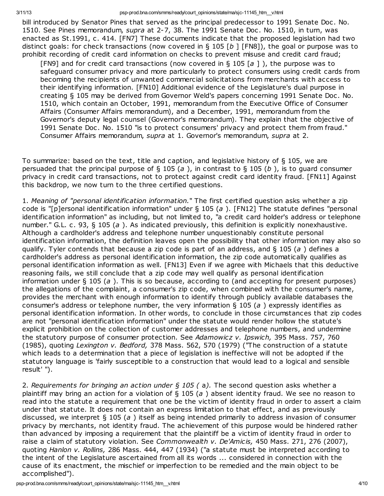bill introduced by Senator Pines that served as the principal predecessor to 1991 Senate Doc. No. 1510. See Pines memorandum, supra at 2-7, 38. The 1991 Senate Doc. No. 1510, in turn, was enacted as St.1991, c. 414. [FN7] These documents indicate that the proposed legislation had two distinct goals: for check transactions (now covered in § 105 [b ] [FN8]), the goal or purpose was to prohibit recording of credit card information on checks to prevent misuse and credit card fraud;

[FN9] and for credit card transactions (now covered in § 105 [a ]), the purpose was to safeguard consumer privacy and more particularly to protect consumers using credit cards from becoming the recipients of unwanted commercial solicitations from merchants with access to their identifying information. [FN10] Additional evidence of the Legislature's dual purpose in creating § 105 may be derived from Governor Weld's papers concerning 1991 Senate Doc. No. 1510, which contain an October, 1991, memorandum from the Executive Office of Consumer Affairs (Consumer Affairs memorandum), and a December, 1991, memorandum from the Governor's deputy legal counsel (Governor's memorandum). They explain that the objective of 1991 Senate Doc. No. 1510 "is to protect consumers' privacy and protect them from fraud." Consumer Affairs memorandum, supra at 1. Governor's memorandum, supra at 2.

To summarize: based on the text, title and caption, and legislative history of § 105, we are persuaded that the principal purpose of § 105 (a), in contrast to § 105 (b), is to guard consumer privacy in credit card transactions, not to protect against credit card identity fraud. [FN11] Against this backdrop, we now turn to the three certified questions.

1. Meaning of "personal identification information." The first certified question asks whether a zip code is "[p]ersonal identification information" under  $\S$  105 (a). [FN12] The statute defines "personal identification information" as including, but not limited to, "a credit card holder's address or telephone number." G.L. c. 93, § 105 (a). As indicated previously, this definition is explicitly nonexhaustive. Although a cardholder's address and telephone number unquestionably constitute personal identification information, the definition leaves open the possibility that other information may also so qualify. Tyler contends that because a zip code is part of an address, and  $\S$  105 (a) defines a cardholder's address as personal identification information, the zip code automatically qualifies as personal identification information as well. [FN13] Even if we agree with Michaels that this deductive reasoning fails, we still conclude that a zip code may well qualify as personal identification information under  $\S 105$  (a). This is so because, according to (and accepting for present purposes) the allegations of the complaint, a consumer's zip code, when combined with the consumer's name, provides the merchant with enough information to identify through publicly available databases the consumer's address or telephone number, the very information  $\S$  105 (a) expressly identifies as personal identification information. In other words, to conclude in those circumstances that zip codes are not "personal identification information" under the statute would render hollow the statute's explicit prohibition on the collection of customer addresses and telephone numbers, and undermine the statutory purpose of consumer protection. See Adamowicz v. Ipswich, 395 Mass. 757, 760 (1985), quoting Lexington v. Bedford, 378 Mass. 562, 570 (1979) ("The construction of a statute which leads to a determination that a piece of legislation is ineffective will not be adopted if the statutory language is 'fairly susceptible to a construction that would lead to a logical and sensible result' ").

2. Requirements for bringing an action under  $\S$  105 (a). The second question asks whether a plaintiff may bring an action for a violation of  $\S$  105 (a) absent identity fraud. We see no reason to read into the statute a requirement that one be the victim of identity fraud in order to assert a claim under that statute. It does not contain an express limitation to that effect, and as previously discussed, we interpret  $\S$  105 (a) itself as being intended primarily to address invasion of consumer privacy by merchants, not identity fraud. The achievement of this purpose would be hindered rather than advanced by imposing a requirement that the plaintiff be a victim of identity fraud in order to raise a claim of statutory violation. See Commonwealth v. De'Amicis, 450 Mass. 271, 276 (2007), quoting Hanlon v. Rollins, 286 Mass. 444, 447 (1934) ("a statute must be interpreted according to the intent of the Legislature ascertained from all its words ... considered in connection with the cause of its enactment, the mischief or imperfection to be remedied and the main object to be accomplished").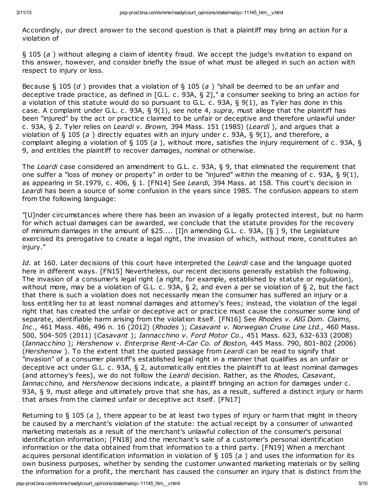Accordingly, our direct answer to the second question is that a plaintiff may bring an action for a violation of

§ 105 (a ) without alleging a claim of identity fraud. We accept the judge's invitation to expand on this answer, however, and consider briefly the issue of what must be alleged in such an action with respect to injury or loss.

Because § 105 (d) provides that a violation of § 105 (a) "shall be deemed to be an unfair and deceptive trade practice, as defined in [G.L. c. 93A, § 2]," a consumer seeking to bring an action for a violation of this statute would do so pursuant to G.L. c. 93A,  $\S$  9(1), as Tyler has done in this case. A complaint under G.L. c. 93A, § 9(1), see note 4, supra, must allege that the plaintiff has been "injured" by the act or practice claimed to be unfair or deceptive and therefore unlawful under c. 93A, § 2. Tyler relies on Leardi v. Brown, 394 Mass. 151 (1985) (Leardi ), and argues that a violation of § 105 (a) directly equates with an injury under c. 93A, § 9(1), and therefore, a complaint alleging a violation of  $\S 105 (a)$ , without more, satisfies the injury requirement of c. 93A,  $\S$ 9, and entitles the plaintiff to recover damages, nominal or otherwise.

The Leardi case considered an amendment to G.L. c. 93A, § 9, that eliminated the requirement that one suffer a "loss of money or property" in order to be "injured" within the meaning of c. 93A, § 9(1), as appearing in St.1979, c. 406, § 1. [FN14] See Leardi, 394 Mass. at 158. This court's decision in Leardi has been a source of some confusion in the years since 1985. The confusion appears to stem from the following language:

"[U]nder circumstances where there has been an invasion of a legally protected interest, but no harm for which actual damages can be awarded, we conclude that the statute provides for the recovery of minimum damages in the amount of \$25.... [I]n amending G.L. c. 93A, [§ ] 9, the Legislature exercised its prerogative to create a legal right, the invasion of which, without more, constitutes an injury."

Id. at 160. Later decisions of this court have interpreted the Leardi case and the language quoted here in different ways. [FN15] Nevertheless, our recent decisions generally establish the following. The invasion of a consumer's legal right (a right, for example, established by statute or regulation), without more, may be a violation of G.L. c. 93A, § 2, and even a per se violation of § 2, but the fact that there is such a violation does not necessarily mean the consumer has suffered an injury or a loss entitling her to at least nominal damages and attorney's fees; instead, the violation of the legal right that has created the unfair or deceptive act or practice must cause the consumer some kind of separate, identifiable harm arising from the violation itself. [FN16] See Rhodes v. AIG Dom. Claims, Inc., 461 Mass. 486, 496 n. 16 (2012) (Rhodes ); Casavant v. Norwegian Cruise Line Ltd., 460 Mass. 500, 504-505 (2011) (Casavant ); Iannacchino v. Ford Motor Co., 451 Mass. 623, 632-633 (2008) (Iannacchino ); Hershenow v. Enterprise Rent-A-Car Co. of Boston, 445 Mass. 790, 801-802 (2006) (Hershenow). To the extent that the quoted passage from Leardi can be read to signify that "invasion" of a consumer plaintiff's established legal right in a manner that qualifies as an unfair or deceptive act under G.L. c. 93A, § 2, automatically entitles the plaintiff to at least nominal damages (and attorney's fees), we do not follow the Leardi decision. Rather, as the Rhodes, Casavant, Iannacchino, and Hershenow decisions indicate, a plaintiff bringing an action for damages under c. 93A, § 9, must allege and ultimately prove that she has, as a result, suffered a distinct injury or harm that arises from the claimed unfair or deceptive act itself. [FN17]

Returning to  $\S$  105 (a), there appear to be at least two types of injury or harm that might in theory be caused by a merchant's violation of the statute: the actual receipt by a consumer of unwanted marketing materials as a result of the merchant's unlawful collection of the consumer's personal identification information; [FN18] and the merchant's sale of a customer's personal identification information or the data obtained from that information to a third party. [FN19] When a merchant acquires personal identification information in violation of  $\frac{1}{2}$  105 (a) and uses the information for its own business purposes, whether by sending the customer unwanted marketing materials or by selling the information for a profit, the merchant has caused the consumer an injury that is distinct from the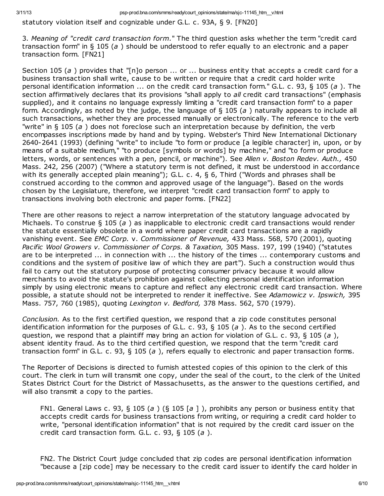statutory violation itself and cognizable under G.L. c. 93A, § 9. [FN20]

3. Meaning of "credit card transaction form." The third question asks whether the term "credit card transaction form" in  $\S 105$  (a) should be understood to refer equally to an electronic and a paper transaction form. [FN21]

Section 105 (a) provides that "[n]o person  $\ldots$  or  $\ldots$  business entity that accepts a credit card for a business transaction shall write, cause to be written or require that a credit card holder write personal identification information ... on the credit card transaction form." G.L. c. 93, § 105 (a). The section affirmatively declares that its provisions "shall apply to *all* credit card transactions" (emphasis supplied), and it contains no language expressly limiting a "credit card transaction form" to a paper form. Accordingly, as noted by the judge, the language of  $\S$  105 (a) naturally appears to include all such transactions, whether they are processed manually or electronically. The reference to the verb "write" in  $\S$  105 (a) does not foreclose such an interpretation because by definition, the verb encompasses inscriptions made by hand and by typing. Webster's Third New International Dictionary 2640-2641 (1993) (defining "write" to include "to form or produce [a legible character] in, upon, or by means of a suitable medium," "to produce [symbols or words] by machine," and "to form or produce letters, words, or sentences with a pen, pencil, or machine"). See Allen v. Boston Redev. Auth., 450 Mass. 242, 256 (2007) ("Where a statutory term is not defined, it must be understood in accordance with its generally accepted plain meaning"); G.L. c. 4, § 6, Third ("Words and phrases shall be construed according to the common and approved usage of the language"). Based on the words chosen by the Legislature, therefore, we interpret "credit card transaction form" to apply to transactions involving both electronic and paper forms. [FN22]

There are other reasons to reject a narrow interpretation of the statutory language advocated by Michaels. To construe  $\S$  105 (a) as inapplicable to electronic credit card transactions would render the statute essentially obsolete in a world where paper credit card transactions are a rapidly vanishing event. See EMC Corp. v. Commissioner of Revenue, 433 Mass. 568, 570 (2001), quoting Pacific Wool Growers v. Commissioner of Corps. & Taxation, 305 Mass. 197, 199 (1940) ("statutes are to be interpreted ... in connection with ... the history of the times ... contemporary customs and conditions and the system of positive law of which they are part"). Such a construction would thus fail to carry out the statutory purpose of protecting consumer privacy because it would allow merchants to avoid the statute's prohibition against collecting personal identification information simply by using electronic means to capture and reflect any electronic credit card transaction. Where possible, a statute should not be interpreted to render it ineffective. See Adamowicz v. Ipswich, 395 Mass. 757, 760 (1985), quoting Lexington v. Bedford, 378 Mass. 562, 570 (1979).

Conclusion. As to the first certified question, we respond that a zip code constitutes personal identification information for the purposes of G.L. c. 93,  $\S$  105 (a). As to the second certified question, we respond that a plaintiff may bring an action for violation of G.L. c. 93, § 105 (a), absent identity fraud. As to the third certified question, we respond that the term "credit card transaction form" in G.L. c. 93, § 105 (a), refers equally to electronic and paper transaction forms.

The Reporter of Decisions is directed to furnish attested copies of this opinion to the clerk of this court. The clerk in turn will transmit one copy, under the seal of the court, to the clerk of the United States District Court for the District of Massachusetts, as the answer to the questions certified, and will also transmit a copy to the parties.

FN1. General Laws c. 93, § 105 (a) (§ 105 [a]), prohibits any person or business entity that accepts credit cards for business transactions from writing, or requiring a credit card holder to write, "personal identification information" that is not required by the credit card issuer on the credit card transaction form. G.L. c. 93,  $\S$  105 (a).

FN2. The District Court judge concluded that zip codes are personal identification information "because a [zip code] may be necessary to the credit card issuer to identify the card holder in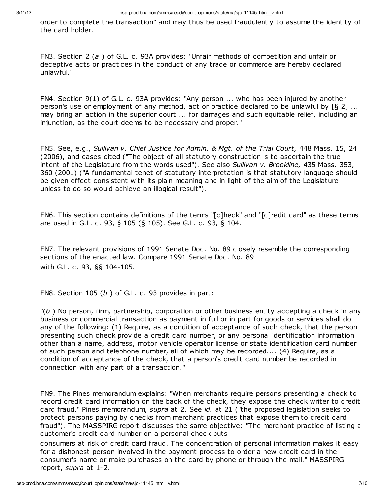order to complete the transaction" and may thus be used fraudulently to assume the identity of the card holder.

FN3. Section 2 (a ) of G.L. c. 93A provides: "Unfair methods of competition and unfair or deceptive acts or practices in the conduct of any trade or commerce are hereby declared unlawful."

FN4. Section 9(1) of G.L. c. 93A provides: "Any person ... who has been injured by another person's use or employment of any method, act or practice declared to be unlawful by [§ 2] ... may bring an action in the superior court ... for damages and such equitable relief, including an injunction, as the court deems to be necessary and proper."

FN5. See, e.g., Sullivan v. Chief Justice for Admin. & Mgt. of the Trial Court, 448 Mass. 15, 24 (2006), and cases cited ("The object of all statutory construction is to ascertain the true intent of the Legislature from the words used"). See also Sullivan v. Brookline, 435 Mass. 353, 360 (2001) ("A fundamental tenet of statutory interpretation is that statutory language should be given effect consistent with its plain meaning and in light of the aim of the Legislature unless to do so would achieve an illogical result").

FN6. This section contains definitions of the terms "[c]heck" and "[c]redit card" as these terms are used in G.L. c. 93, § 105 (§ 105). See G.L. c. 93, § 104.

FN7. The relevant provisions of 1991 Senate Doc. No. 89 closely resemble the corresponding sections of the enacted law. Compare 1991 Senate Doc. No. 89 with G.L. c. 93, §§ 104-105.

FN8. Section 105 (b ) of G.L. c. 93 provides in part:

 $\mathbb{P}(b)$  No person, firm, partnership, corporation or other business entity accepting a check in any business or commercial transaction as payment in full or in part for goods or services shall do any of the following: (1) Require, as a condition of acceptance of such check, that the person presenting such check provide a credit card number, or any personal identification information other than a name, address, motor vehicle operator license or state identification card number of such person and telephone number, all of which may be recorded.... (4) Require, as a condition of acceptance of the check, that a person's credit card number be recorded in connection with any part of a transaction."

FN9. The Pines memorandum explains: "When merchants require persons presenting a check to record credit card information on the back of the check, they expose the check writer to credit card fraud." Pines memorandum, supra at 2. See id. at 21 ("the proposed legislation seeks to protect persons paying by checks from merchant practices that expose them to credit card fraud"). The MASSPIRG report discusses the same objective: "The merchant practice of listing a customer's credit card number on a personal check puts

consumers at risk of credit card fraud. The concentration of personal information makes it easy for a dishonest person involved in the payment process to order a new credit card in the consumer's name or make purchases on the card by phone or through the mail." MASSPIRG report, supra at 1-2.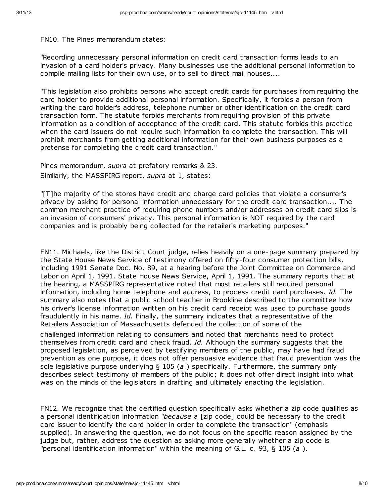FN10. The Pines memorandum states:

"Recording unnecessary personal information on credit card transaction forms leads to an invasion of a card holder's privacy. Many businesses use the additional personal information to compile mailing lists for their own use, or to sell to direct mail houses....

"This legislation also prohibits persons who accept credit cards for purchases from requiring the card holder to provide additional personal information. Specifically, it forbids a person from writing the card holder's address, telephone number or other identification on the credit card transaction form. The statute forbids merchants from requiring provision of this private information as a condition of acceptance of the credit card. This statute forbids this practice when the card issuers do not require such information to complete the transaction. This will prohibit merchants from getting additional information for their own business purposes as a pretense for completing the credit card transaction."

Pines memorandum, supra at prefatory remarks & 23. Similarly, the MASSPIRG report, supra at 1, states:

"[T]he majority of the stores have credit and charge card policies that violate a consumer's privacy by asking for personal information unnecessary for the credit card transaction.... The common merchant practice of requiring phone numbers and/or addresses on credit card slips is an invasion of consumers' privacy. This personal information is NOT required by the card companies and is probably being collected for the retailer's marketing purposes."

FN11. Michaels, like the District Court judge, relies heavily on a one-page summary prepared by the State House News Service of testimony offered on fifty-four consumer protection bills, including 1991 Senate Doc. No. 89, at a hearing before the Joint Committee on Commerce and Labor on April 1, 1991. State House News Service, April 1, 1991. The summary reports that at the hearing, a MASSPIRG representative noted that most retailers still required personal information, including home telephone and address, to process credit card purchases. Id. The summary also notes that a public school teacher in Brookline described to the committee how his driver's license information written on his credit card receipt was used to purchase goods fraudulently in his name. Id. Finally, the summary indicates that a representative of the Retailers Association of Massachusetts defended the collection of some of the

challenged information relating to consumers and noted that merchants need to protect themselves from credit card and check fraud. Id. Although the summary suggests that the proposed legislation, as perceived by testifying members of the public, may have had fraud prevention as one purpose, it does not offer persuasive evidence that fraud prevention was the sole legislative purpose underlying  $\S$  105 (a) specifically. Furthermore, the summary only describes select testimony of members of the public; it does not offer direct insight into what was on the minds of the legislators in drafting and ultimately enacting the legislation.

FN12. We recognize that the certified question specifically asks whether a zip code qualifies as a personal identification information "because a [zip code] could be necessary to the credit card issuer to identify the card holder in order to complete the transaction" (emphasis supplied). In answering the question, we do not focus on the specific reason assigned by the judge but, rather, address the question as asking more generally whether a zip code is "personal identification information" within the meaning of G.L. c. 93,  $\S$  105 (a).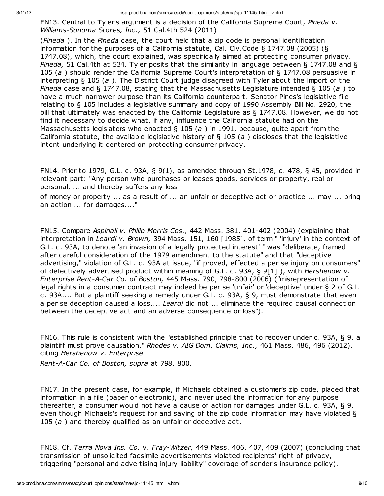3/11/13 psp-prod.bna.com/smms/ready/court\_opinions/state/ma/sjc-11145\_htm\_\_v.html

FN13. Central to Tyler's argument is a decision of the California Supreme Court, Pineda v. Williams-Sonoma Stores, Inc., 51 Cal.4th 524 (2011)

(Pineda). In the Pineda case, the court held that a zip code is personal identification information for the purposes of a California statute, Cal. Civ.Code § 1747.08 (2005) (§ 1747.08), which, the court explained, was specifically aimed at protecting consumer privacy. Pineda, 51 Cal.4th at 534. Tyler posits that the similarity in language between § 1747.08 and § 105 (a) should render the California Supreme Court's interpretation of § 1747.08 persuasive in interpreting  $\S$  105 (a). The District Court judge disagreed with Tyler about the import of the Pineda case and § 1747.08, stating that the Massachusetts Legislature intended § 105 (a) to have a much narrower purpose than its California counterpart. Senator Pines's legislative file relating to § 105 includes a legislative summary and copy of 1990 Assembly Bill No. 2920, the bill that ultimately was enacted by the California Legislature as § 1747.08. However, we do not find it necessary to decide what, if any, influence the California statute had on the Massachusetts legislators who enacted  $\S$  105 (a) in 1991, because, quite apart from the California statute, the available legislative history of  $\S$  105 (a) discloses that the legislative intent underlying it centered on protecting consumer privacy.

FN14. Prior to 1979, G.L. c. 93A, § 9(1), as amended through St.1978, c. 478, § 45, provided in relevant part: "Any person who purchases or leases goods, services or property, real or personal, ... and thereby suffers any loss

of money or property ... as a result of ... an unfair or deceptive act or practice ... may ... bring an action ... for damages...."

FN15. Compare Aspinall v. Philip Morris Cos., 442 Mass. 381, 401-402 (2004) (explaining that interpretation in Leardi v. Brown, 394 Mass. 151, 160 [1985], of term " 'injury' in the context of G.L. c. 93A, to denote 'an invasion of a legally protected interest' " was "deliberate, framed after careful consideration of the 1979 amendment to the statute" and that "deceptive advertising," violation of G.L. c. 93A at issue, "if proved, effected a per se injury on consumers" of defectively advertised product within meaning of G.L. c. 93A,  $\S 9[1]$ ), with *Hershenow v.* Enterprise Rent-A-Car Co. of Boston, 445 Mass. 790, 798-800 (2006) ("misrepresentation of legal rights in a consumer contract may indeed be per se 'unfair' or 'deceptive' under § 2 of G.L. c. 93A.... But a plaintiff seeking a remedy under G.L. c. 93A, § 9, must demonstrate that even a per se deception caused a loss.... Leardi did not ... eliminate the required causal connection between the deceptive act and an adverse consequence or loss").

FN16. This rule is consistent with the "established principle that to recover under c. 93A, § 9, a plaintiff must prove causation." Rhodes v. AIG Dom. Claims, Inc., 461 Mass. 486, 496 (2012), citing Hershenow v. Enterprise

Rent-A-Car Co. of Boston, supra at 798, 800.

FN17. In the present case, for example, if Michaels obtained a customer's zip code, placed that information in a file (paper or electronic), and never used the information for any purpose thereafter, a consumer would not have a cause of action for damages under G.L. c. 93A, § 9, even though Michaels's request for and saving of the zip code information may have violated § 105 ( $a$ ) and thereby qualified as an unfair or deceptive act.

FN18. Cf. Terra Nova Ins. Co. v. Fray-Witzer, 449 Mass. 406, 407, 409 (2007) (concluding that transmission of unsolicited facsimile advertisements violated recipients' right of privacy, triggering "personal and advertising injury liability" coverage of sender's insurance policy).